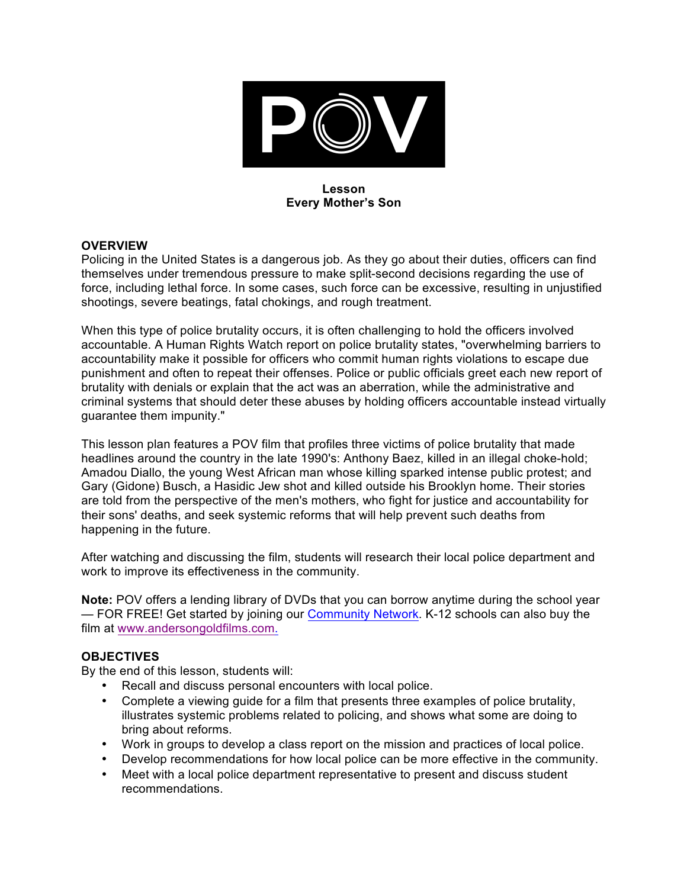

### **Lesson Every Mother's Son**

### **OVERVIEW**

Policing in the United States is a dangerous job. As they go about their duties, officers can find themselves under tremendous pressure to make split-second decisions regarding the use of force, including lethal force. In some cases, such force can be excessive, resulting in unjustified shootings, severe beatings, fatal chokings, and rough treatment.

When this type of police brutality occurs, it is often challenging to hold the officers involved accountable. A Human Rights Watch report on police brutality states, "overwhelming barriers to accountability make it possible for officers who commit human rights violations to escape due punishment and often to repeat their offenses. Police or public officials greet each new report of brutality with denials or explain that the act was an aberration, while the administrative and criminal systems that should deter these abuses by holding officers accountable instead virtually guarantee them impunity."

This lesson plan features a POV film that profiles three victims of police brutality that made headlines around the country in the late 1990's: Anthony Baez, killed in an illegal choke-hold; Amadou Diallo, the young West African man whose killing sparked intense public protest; and Gary (Gidone) Busch, a Hasidic Jew shot and killed outside his Brooklyn home. Their stories are told from the perspective of the men's mothers, who fight for justice and accountability for their sons' deaths, and seek systemic reforms that will help prevent such deaths from happening in the future.

After watching and discussing the film, students will research their local police department and work to improve its effectiveness in the community.

**Note:** POV offers a lending library of DVDs that you can borrow anytime during the school year — FOR FREE! Get started by joining our Community Network. K-12 schools can also buy the film at www.andersongoldfilms.com.

## **OBJECTIVES**

By the end of this lesson, students will:

- Recall and discuss personal encounters with local police.
- Complete a viewing guide for a film that presents three examples of police brutality, illustrates systemic problems related to policing, and shows what some are doing to bring about reforms.
- Work in groups to develop a class report on the mission and practices of local police.
- Develop recommendations for how local police can be more effective in the community.
- Meet with a local police department representative to present and discuss student recommendations.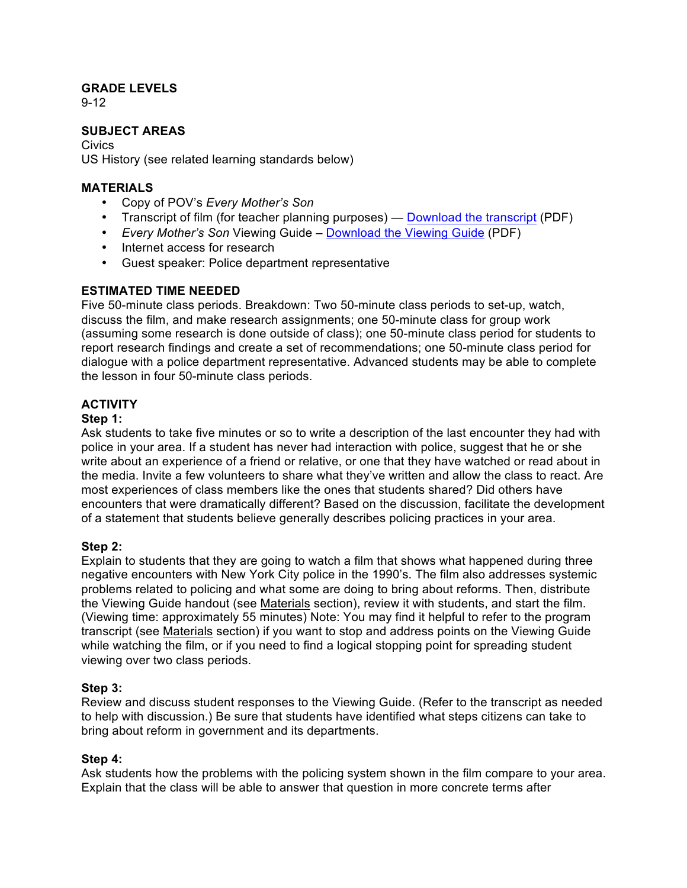## **GRADE LEVELS**

9-12

## **SUBJECT AREAS**

Civics US History (see related learning standards below)

### **MATERIALS**

- Copy of POV's *Every Mother's Son*
- Transcript of film (for teacher planning purposes) Download the transcript (PDF)
- *Every Mother's Son* Viewing Guide Download the Viewing Guide (PDF)
- Internet access for research
- Guest speaker: Police department representative

## **ESTIMATED TIME NEEDED**

Five 50-minute class periods. Breakdown: Two 50-minute class periods to set-up, watch, discuss the film, and make research assignments; one 50-minute class for group work (assuming some research is done outside of class); one 50-minute class period for students to report research findings and create a set of recommendations; one 50-minute class period for dialogue with a police department representative. Advanced students may be able to complete the lesson in four 50-minute class periods.

# **ACTIVITY**

### **Step 1:**

Ask students to take five minutes or so to write a description of the last encounter they had with police in your area. If a student has never had interaction with police, suggest that he or she write about an experience of a friend or relative, or one that they have watched or read about in the media. Invite a few volunteers to share what they've written and allow the class to react. Are most experiences of class members like the ones that students shared? Did others have encounters that were dramatically different? Based on the discussion, facilitate the development of a statement that students believe generally describes policing practices in your area.

## **Step 2:**

Explain to students that they are going to watch a film that shows what happened during three negative encounters with New York City police in the 1990's. The film also addresses systemic problems related to policing and what some are doing to bring about reforms. Then, distribute the Viewing Guide handout (see Materials section), review it with students, and start the film. (Viewing time: approximately 55 minutes) Note: You may find it helpful to refer to the program transcript (see Materials section) if you want to stop and address points on the Viewing Guide while watching the film, or if you need to find a logical stopping point for spreading student viewing over two class periods.

## **Step 3:**

Review and discuss student responses to the Viewing Guide. (Refer to the transcript as needed to help with discussion.) Be sure that students have identified what steps citizens can take to bring about reform in government and its departments.

## **Step 4:**

Ask students how the problems with the policing system shown in the film compare to your area. Explain that the class will be able to answer that question in more concrete terms after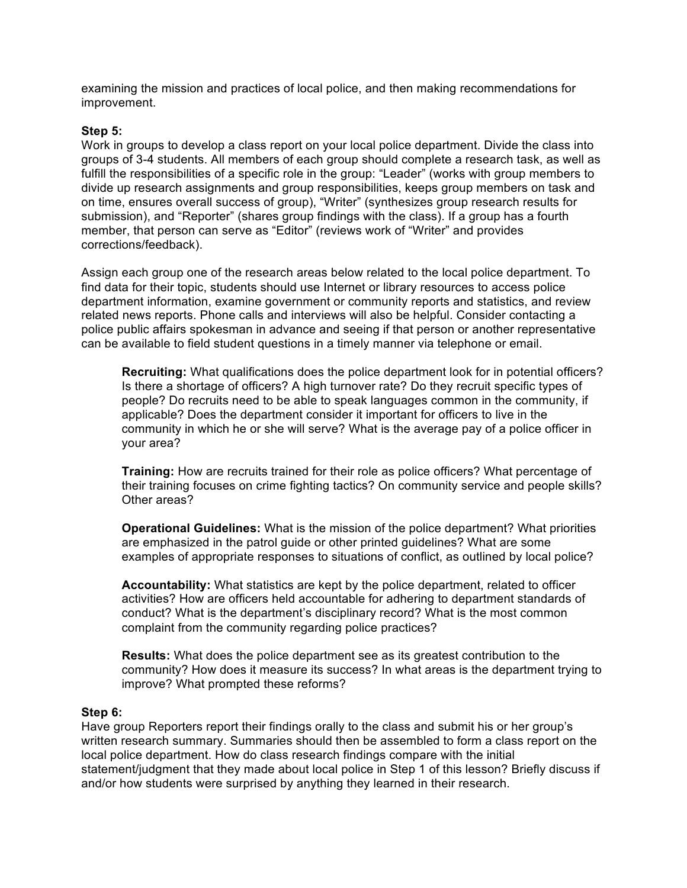examining the mission and practices of local police, and then making recommendations for improvement.

### **Step 5:**

Work in groups to develop a class report on your local police department. Divide the class into groups of 3-4 students. All members of each group should complete a research task, as well as fulfill the responsibilities of a specific role in the group: "Leader" (works with group members to divide up research assignments and group responsibilities, keeps group members on task and on time, ensures overall success of group), "Writer" (synthesizes group research results for submission), and "Reporter" (shares group findings with the class). If a group has a fourth member, that person can serve as "Editor" (reviews work of "Writer" and provides corrections/feedback).

Assign each group one of the research areas below related to the local police department. To find data for their topic, students should use Internet or library resources to access police department information, examine government or community reports and statistics, and review related news reports. Phone calls and interviews will also be helpful. Consider contacting a police public affairs spokesman in advance and seeing if that person or another representative can be available to field student questions in a timely manner via telephone or email.

**Recruiting:** What qualifications does the police department look for in potential officers? Is there a shortage of officers? A high turnover rate? Do they recruit specific types of people? Do recruits need to be able to speak languages common in the community, if applicable? Does the department consider it important for officers to live in the community in which he or she will serve? What is the average pay of a police officer in your area?

**Training:** How are recruits trained for their role as police officers? What percentage of their training focuses on crime fighting tactics? On community service and people skills? Other areas?

**Operational Guidelines:** What is the mission of the police department? What priorities are emphasized in the patrol guide or other printed guidelines? What are some examples of appropriate responses to situations of conflict, as outlined by local police?

**Accountability:** What statistics are kept by the police department, related to officer activities? How are officers held accountable for adhering to department standards of conduct? What is the department's disciplinary record? What is the most common complaint from the community regarding police practices?

**Results:** What does the police department see as its greatest contribution to the community? How does it measure its success? In what areas is the department trying to improve? What prompted these reforms?

### **Step 6:**

Have group Reporters report their findings orally to the class and submit his or her group's written research summary. Summaries should then be assembled to form a class report on the local police department. How do class research findings compare with the initial statement/judgment that they made about local police in Step 1 of this lesson? Briefly discuss if and/or how students were surprised by anything they learned in their research.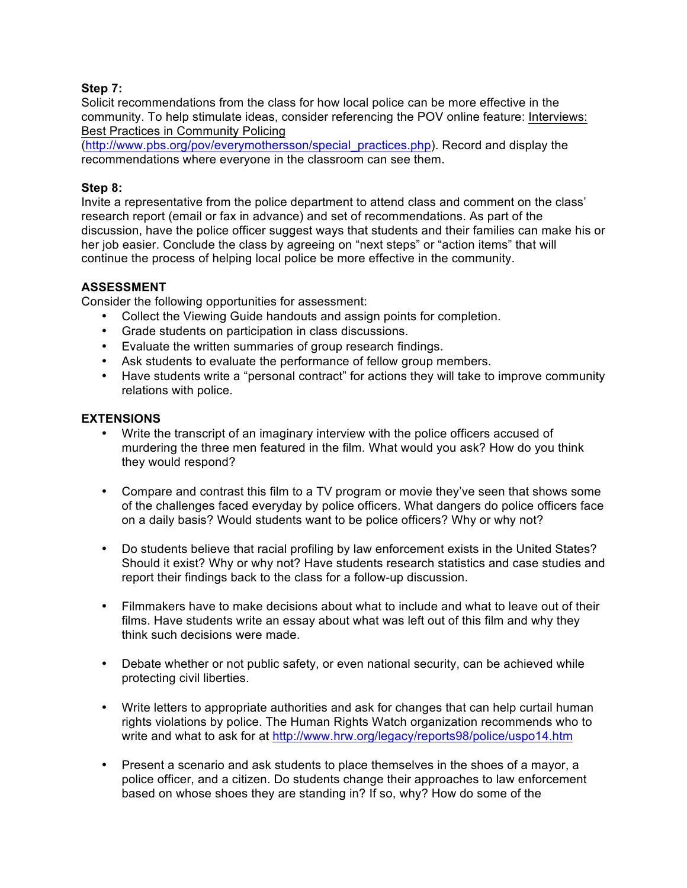### **Step 7:**

Solicit recommendations from the class for how local police can be more effective in the community. To help stimulate ideas, consider referencing the POV online feature: Interviews: Best Practices in Community Policing

(http://www.pbs.org/pov/everymothersson/special\_practices.php). Record and display the recommendations where everyone in the classroom can see them.

### **Step 8:**

Invite a representative from the police department to attend class and comment on the class' research report (email or fax in advance) and set of recommendations. As part of the discussion, have the police officer suggest ways that students and their families can make his or her job easier. Conclude the class by agreeing on "next steps" or "action items" that will continue the process of helping local police be more effective in the community.

## **ASSESSMENT**

Consider the following opportunities for assessment:

- Collect the Viewing Guide handouts and assign points for completion.
- Grade students on participation in class discussions.
- Evaluate the written summaries of group research findings.
- Ask students to evaluate the performance of fellow group members.
- Have students write a "personal contract" for actions they will take to improve community relations with police.

### **EXTENSIONS**

- Write the transcript of an imaginary interview with the police officers accused of murdering the three men featured in the film. What would you ask? How do you think they would respond?
- Compare and contrast this film to a TV program or movie they've seen that shows some of the challenges faced everyday by police officers. What dangers do police officers face on a daily basis? Would students want to be police officers? Why or why not?
- Do students believe that racial profiling by law enforcement exists in the United States? Should it exist? Why or why not? Have students research statistics and case studies and report their findings back to the class for a follow-up discussion.
- Filmmakers have to make decisions about what to include and what to leave out of their films. Have students write an essay about what was left out of this film and why they think such decisions were made.
- Debate whether or not public safety, or even national security, can be achieved while protecting civil liberties.
- Write letters to appropriate authorities and ask for changes that can help curtail human rights violations by police. The Human Rights Watch organization recommends who to write and what to ask for at http://www.hrw.org/legacy/reports98/police/uspo14.htm
- Present a scenario and ask students to place themselves in the shoes of a mayor, a police officer, and a citizen. Do students change their approaches to law enforcement based on whose shoes they are standing in? If so, why? How do some of the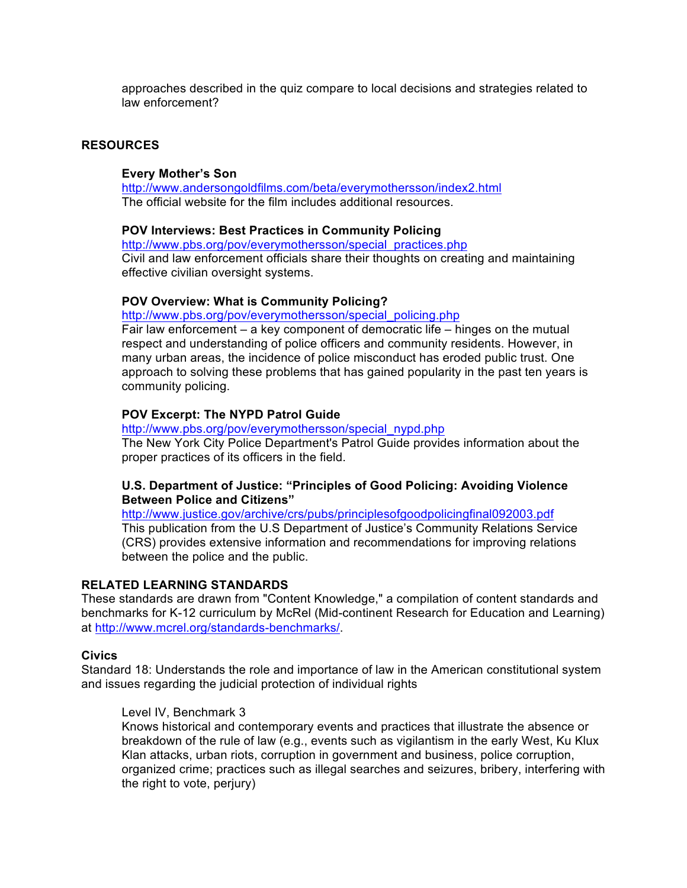approaches described in the quiz compare to local decisions and strategies related to law enforcement?

### **RESOURCES**

### **Every Mother's Son**

http://www.andersongoldfilms.com/beta/everymothersson/index2.html The official website for the film includes additional resources.

### **POV Interviews: Best Practices in Community Policing**

http://www.pbs.org/pov/everymothersson/special\_practices.php Civil and law enforcement officials share their thoughts on creating and maintaining effective civilian oversight systems.

#### **POV Overview: What is Community Policing?**

http://www.pbs.org/pov/everymothersson/special\_policing.php

Fair law enforcement – a key component of democratic life – hinges on the mutual respect and understanding of police officers and community residents. However, in many urban areas, the incidence of police misconduct has eroded public trust. One approach to solving these problems that has gained popularity in the past ten years is community policing.

#### **POV Excerpt: The NYPD Patrol Guide**

http://www.pbs.org/pov/everymothersson/special\_nypd.php The New York City Police Department's Patrol Guide provides information about the proper practices of its officers in the field.

### **U.S. Department of Justice: "Principles of Good Policing: Avoiding Violence Between Police and Citizens"**

http://www.justice.gov/archive/crs/pubs/principlesofgoodpolicingfinal092003.pdf This publication from the U.S Department of Justice's Community Relations Service (CRS) provides extensive information and recommendations for improving relations between the police and the public.

### **RELATED LEARNING STANDARDS**

These standards are drawn from "Content Knowledge," a compilation of content standards and benchmarks for K-12 curriculum by McRel (Mid-continent Research for Education and Learning) at http://www.mcrel.org/standards-benchmarks/.

#### **Civics**

Standard 18: Understands the role and importance of law in the American constitutional system and issues regarding the judicial protection of individual rights

#### Level IV, Benchmark 3

Knows historical and contemporary events and practices that illustrate the absence or breakdown of the rule of law (e.g., events such as vigilantism in the early West, Ku Klux Klan attacks, urban riots, corruption in government and business, police corruption, organized crime; practices such as illegal searches and seizures, bribery, interfering with the right to vote, perjury)